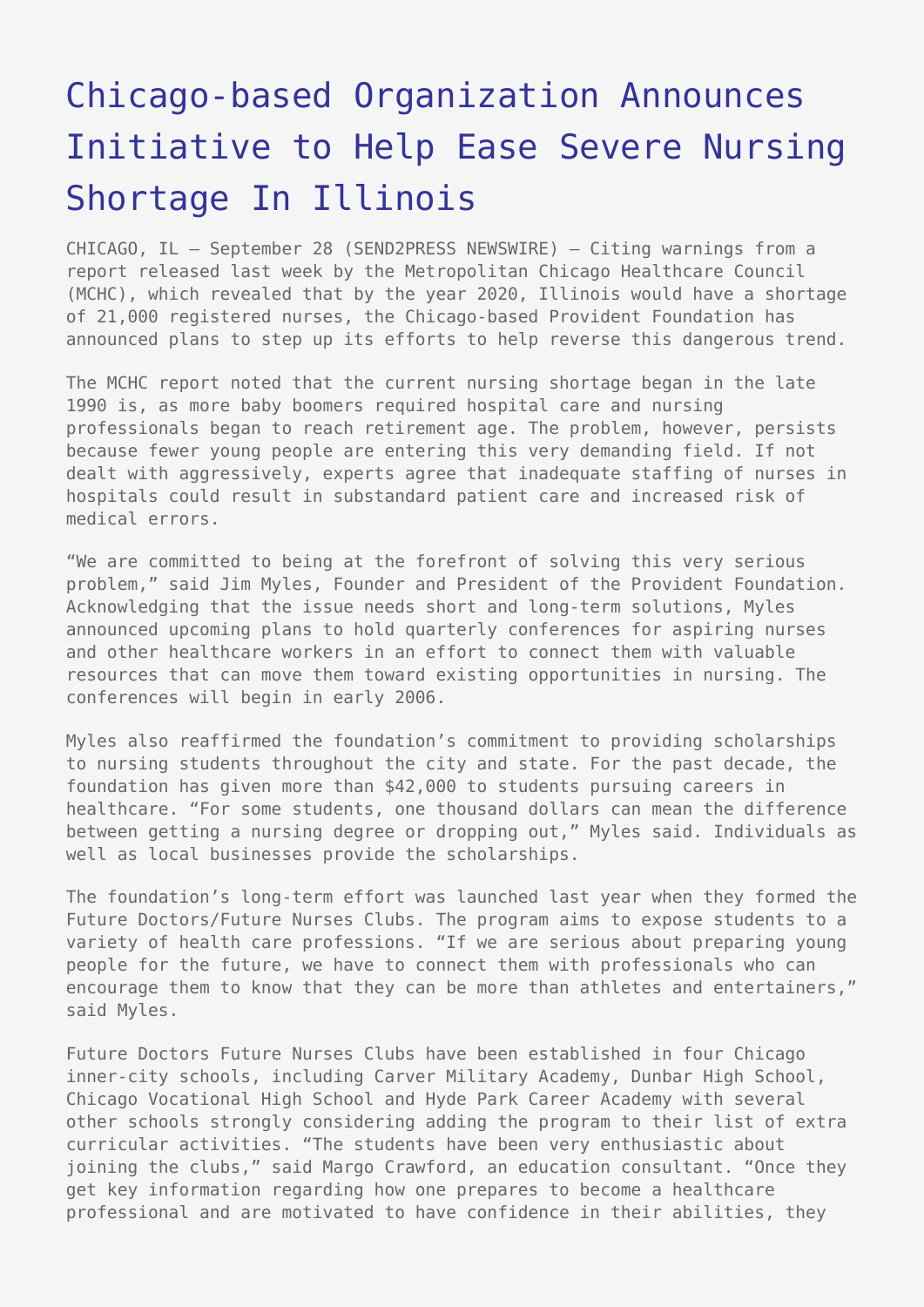## [Chicago-based Organization Announces](https://www.send2press.com/wire/2005-09-0928-005/) [Initiative to Help Ease Severe Nursing](https://www.send2press.com/wire/2005-09-0928-005/) [Shortage In Illinois](https://www.send2press.com/wire/2005-09-0928-005/)

CHICAGO, IL – September 28 (SEND2PRESS NEWSWIRE) — Citing warnings from a report released last week by the Metropolitan Chicago Healthcare Council (MCHC), which revealed that by the year 2020, Illinois would have a shortage of 21,000 registered nurses, the Chicago-based Provident Foundation has announced plans to step up its efforts to help reverse this dangerous trend.

The MCHC report noted that the current nursing shortage began in the late 1990 is, as more baby boomers required hospital care and nursing professionals began to reach retirement age. The problem, however, persists because fewer young people are entering this very demanding field. If not dealt with aggressively, experts agree that inadequate staffing of nurses in hospitals could result in substandard patient care and increased risk of medical errors.

"We are committed to being at the forefront of solving this very serious problem," said Jim Myles, Founder and President of the Provident Foundation. Acknowledging that the issue needs short and long-term solutions, Myles announced upcoming plans to hold quarterly conferences for aspiring nurses and other healthcare workers in an effort to connect them with valuable resources that can move them toward existing opportunities in nursing. The conferences will begin in early 2006.

Myles also reaffirmed the foundation's commitment to providing scholarships to nursing students throughout the city and state. For the past decade, the foundation has given more than \$42,000 to students pursuing careers in healthcare. "For some students, one thousand dollars can mean the difference between getting a nursing degree or dropping out," Myles said. Individuals as well as local businesses provide the scholarships.

The foundation's long-term effort was launched last year when they formed the Future Doctors/Future Nurses Clubs. The program aims to expose students to a variety of health care professions. "If we are serious about preparing young people for the future, we have to connect them with professionals who can encourage them to know that they can be more than athletes and entertainers," said Myles.

Future Doctors Future Nurses Clubs have been established in four Chicago inner-city schools, including Carver Military Academy, Dunbar High School, Chicago Vocational High School and Hyde Park Career Academy with several other schools strongly considering adding the program to their list of extra curricular activities. "The students have been very enthusiastic about joining the clubs," said Margo Crawford, an education consultant. "Once they get key information regarding how one prepares to become a healthcare professional and are motivated to have confidence in their abilities, they